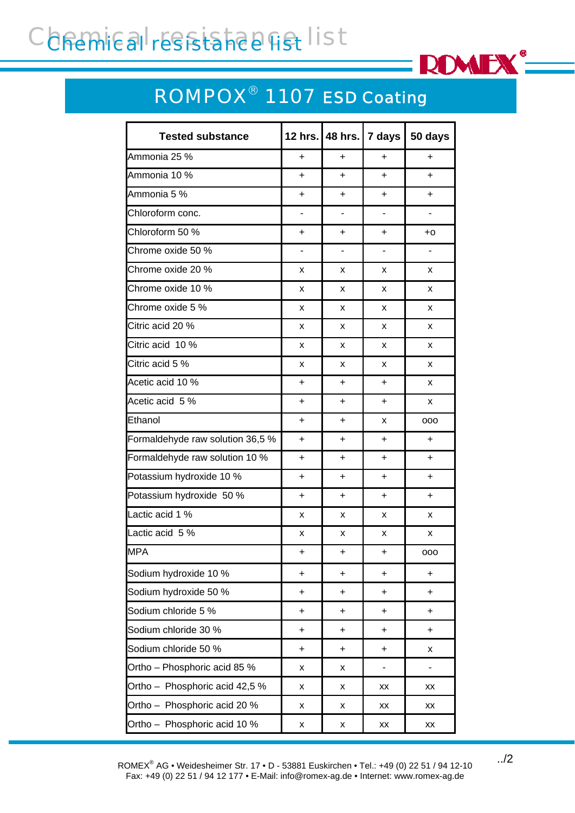## Conemical resistance list



## ROMPOX® 1107 *ESD Coating*

| <b>Tested substance</b>          | <b>12 hrs.</b>           | 48 hrs.                  | 7 days                   | 50 days        |
|----------------------------------|--------------------------|--------------------------|--------------------------|----------------|
| Ammonia 25 %                     | +                        | $\ddot{}$                | $\ddot{}$                | $\ddot{}$      |
| Ammonia 10 %                     | +                        | $\ddot{}$                | $\ddot{}$                | $\ddot{}$      |
| Ammonia 5 %                      | +                        | $\ddot{}$                | $\ddot{}$                | $+$            |
| Chloroform conc.                 | $\overline{\phantom{0}}$ | $\overline{\phantom{0}}$ | $\overline{\phantom{a}}$ | $\blacksquare$ |
| Chloroform 50 %                  | +                        | +                        | $\ddot{}$                | $+0$           |
| Chrome oxide 50 %                | -                        | $\overline{\phantom{0}}$ | ۰                        | -              |
| Chrome oxide 20 %                | x                        | X                        | X                        | x              |
| Chrome oxide 10 %                | x                        | X                        | х                        | X              |
| Chrome oxide 5 %                 | x                        | X                        | X                        | X              |
| Citric acid 20 %                 | x                        | X                        | X                        | X              |
| Citric acid 10 %                 | x                        | X                        | X                        | X              |
| Citric acid 5 %                  | x                        | X                        | X                        | X              |
| Acetic acid 10 %                 | +                        | +                        | $\ddot{}$                | X              |
| Acetic acid 5 %                  | +                        | $\ddot{}$                | $\ddot{}$                | X              |
| Ethanol                          | +                        | $\ddot{}$                | X                        | 000            |
| Formaldehyde raw solution 36,5 % | +                        | $\ddot{}$                | $\ddot{}$                | $\ddot{}$      |
| Formaldehyde raw solution 10 %   | +                        | +                        | $\ddot{}$                | $\ddot{}$      |
| Potassium hydroxide 10 %         | +                        | $\ddot{}$                | $\ddot{}$                | $+$            |
| Potassium hydroxide 50 %         | +                        | +                        | $\ddot{}$                | $+$            |
| Lactic acid 1 %                  | x                        | x                        | х                        | X              |
| Lactic acid 5 %                  | x                        | x                        | x                        | X              |
| <b>MPA</b>                       | +                        | +                        | +                        | ooo            |
| Sodium hydroxide 10 %            | $\ddot{}$                | $\ddot{}$                | $+$                      | $\ddot{}$      |
| Sodium hydroxide 50 %            | $\ddot{}$                | $\ddot{}$                | $\ddot{}$                | $\ddot{}$      |
| Sodium chloride 5 %              | $\ddot{}$                | $\ddot{}$                | $\ddot{}$                | $\ddot{}$      |
| Sodium chloride 30 %             | $\ddot{}$                | $\ddot{}$                | $\ddot{}$                | $+$            |
| Sodium chloride 50 %             | $\ddot{}$                | $\ddot{}$                | $\ddot{}$                | x              |
| Ortho - Phosphoric acid 85 %     | X                        | X                        |                          |                |
| Ortho - Phosphoric acid 42,5 %   | x                        | X                        | XX                       | XX             |
| Ortho - Phosphoric acid 20 %     | x                        | x                        | XX                       | XX             |
| Ortho - Phosphoric acid 10 %     | X                        | X                        | $\mathsf{X}\mathsf{X}$   | XX             |